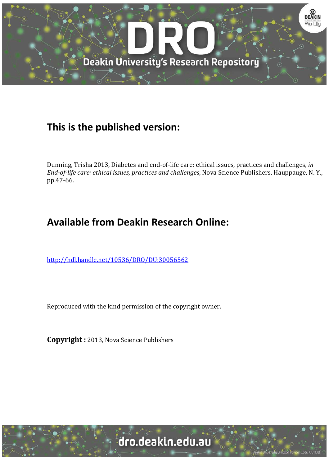

### **This is the published version:**

Dunning, Trisha 2013, Diabetes and end-of-life care: ethical issues, practices and challenges*, in End-of-life care: ethical issues, practices and challenges*, Nova Science Publishers, Hauppauge, N. Y., pp.47-66.

## **Available from Deakin Research Online:**

<http://hdl.handle.net/10536/DRO/DU:30056562>

Reproduced with the kind permission of the copyright owner.

**Copyright :** 2013, Nova Science Publishers

situ CRICOS Provider Code: 001138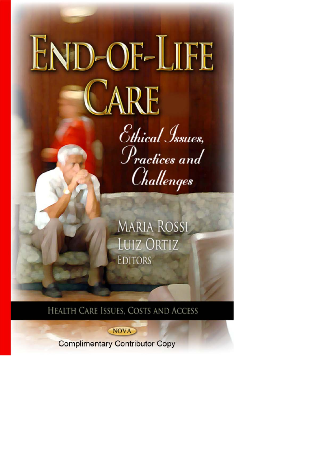END-OF-LIFE JARE Ethical Issues, Practices and Challenges

**MARIA ROSSI LUIZ ORTIZ EDITORS** 

HEALTH CARE ISSUES, COSTS AND ACCESS

NOVA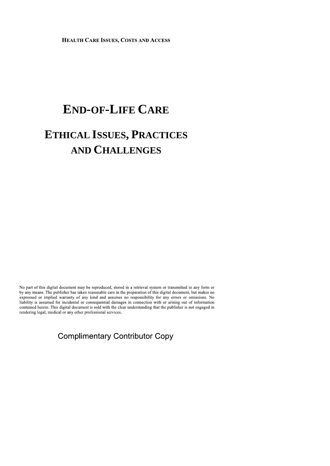**HEALTH CARE ISSUES, COSTS AND ACCESS** 

# **END-OF-LIFE CARE**

## **ETHICAL ISSUES, PRACTICES AND CHALLENGES**

No part of this digital document may be reproduced, stored in a retrieval system or transmitted in any form or by any means. The publisher has taken reasonable care in the preparation of this digital document, but makes no expressed or implied warranty of any kind and assumes no responsibility for any errors or omissions. No liability is assumed for incidental or consequential damages in connection with or arising out of information contained herein. This digital document is sold with the clear understanding that the publisher is not engaged in rendering legal, medical or any other professional services.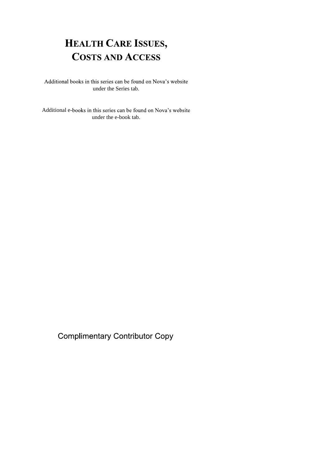## **HEALTH CARE ISSUES, COSTS AND ACCESS**

Additional books in this series can be found on Nova's website under the Series tab.

Additional e-books in this series can be found on Nova's website under the e-book tab.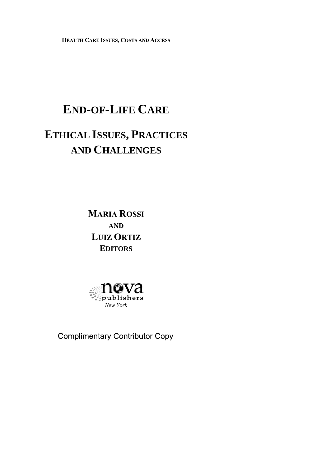HEALTH CARE ISSUES, COSTS AND ACCESS

# **END-OF-LIFE CARE**

# **ETHICAL ISSUES, PRACTICES AND CHALLENGES**

**MARIA ROSSI AND LUIZ ORTIZ EDITORS**

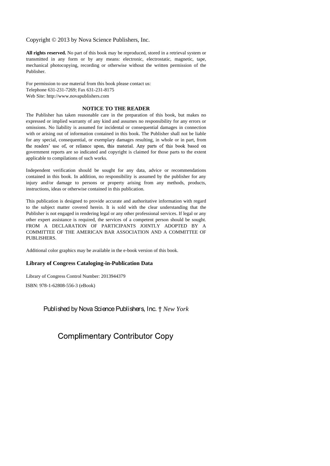Copyright © 2013 by Nova Science Publishers, Inc.

**All rights reserved.** No part of this book may be reproduced, stored in a retrieval system or transmitted in any form or by any means: electronic, electrostatic, magnetic, tape, mechanical photocopying, recording or otherwise without the written permission of the Publisher.

For permission to use material from this book please contact us: Telephone 631-231-7269; Fax 631-231-8175 Web Site: http://www.novapublishers.com

#### **NOTICE TO THE READER**

The Publisher has taken reasonable care in the preparation of this book, but makes no expressed or implied warranty of any kind and assumes no responsibility for any errors or omissions. No liability is assumed for incidental or consequential damages in connection with or arising out of information contained in this book. The Publisher shall not be liable for any special, consequential, or exemplary damages resulting, in whole or in part, from the readers' use of, or reliance upon, this material. Any parts of this book based on government reports are so indicated and copyright is claimed for those parts to the extent applicable to compilations of such works.

Independent verification should be sought for any data, advice or recommendations contained in this book. In addition, no responsibility is assumed by the publisher for any injury and/or damage to persons or property arising from any methods, products, instructions, ideas or otherwise contained in this publication.

This publication is designed to provide accurate and authoritative information with regard to the subject matter covered herein. It is sold with the clear understanding that the Publisher is not engaged in rendering legal or any other professional services. If legal or any other expert assistance is required, the services of a competent person should be sought. FROM A DECLARATION OF PARTICIPANTS JOINTLY ADOPTED BY A COMMITTEE OF THE AMERICAN BAR ASSOCIATION AND A COMMITTEE OF PUBLISHERS.

Additional color graphics may be available in the e-book version of this book.

#### **Library of Congress Cataloging-in-Publication Data**

Library of Congress Control Number: 2013944379

ISBN: 978-1-62808-556-3 (eBook)

#### Published by Nova Science Publishers, Inc. † *New York*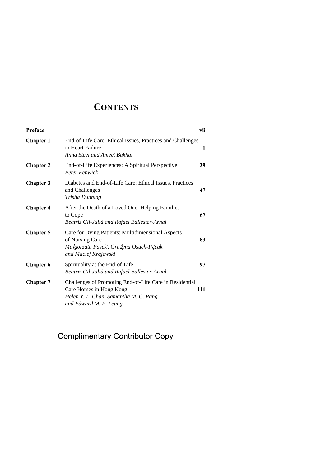### **CONTENTS**

| Preface          |                                                                                                                                                       | vii |
|------------------|-------------------------------------------------------------------------------------------------------------------------------------------------------|-----|
| <b>Chapter 1</b> | End-of-Life Care: Ethical Issues, Practices and Challenges<br>in Heart Failure<br>Anna Steel and Ameet Bakhai                                         | 1   |
| <b>Chapter 2</b> | End-of-Life Experiences: A Spiritual Perspective<br><b>Peter Fenwick</b>                                                                              | 29  |
| <b>Chapter 3</b> | Diabetes and End-of-Life Care: Ethical Issues, Practices<br>and Challenges<br>Trisha Dunning                                                          | 47  |
| <b>Chapter 4</b> | After the Death of a Loved One: Helping Families<br>to Cope<br>Beatriz Gil-Juliá and Rafael Ballester-Arnal                                           | 67  |
| <b>Chapter 5</b> | Care for Dying Patients: Multidimensional Aspects<br>of Nursing Care<br>Małgorzata Pasek, Grażyna Osuch-Pęcak<br>and Maciej Krajewski                 | 83  |
| <b>Chapter 6</b> | Spirituality at the End-of-Life<br>Beatriz Gil-Juliá and Rafael Ballester-Arnal                                                                       | 97  |
| <b>Chapter 7</b> | Challenges of Promoting End-of-Life Care in Residential<br>Care Homes in Hong Kong<br>Helen Y. L. Chan, Samantha M. C. Pang<br>and Edward M. F. Leung | 111 |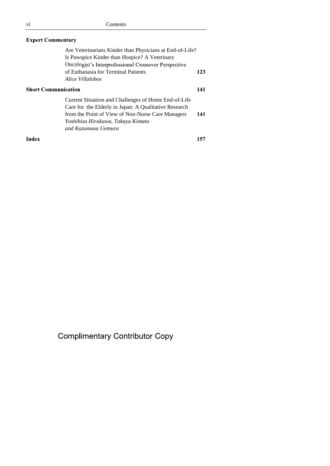| <b>Expert Commentary</b>   |                                                                                                                                                                                                                                |     |  |
|----------------------------|--------------------------------------------------------------------------------------------------------------------------------------------------------------------------------------------------------------------------------|-----|--|
|                            | Are Veterinarians Kinder than Physicians at End-of-Life?<br>Is Pawspice Kinder than Hospice? A Veterinary<br>Oncologist's Interprofessional Crossover Perspective<br>of Euthanasia for Terminal Patients<br>Alice Villalobos   | 123 |  |
| <b>Short Communication</b> |                                                                                                                                                                                                                                | 141 |  |
|                            | Current Situation and Challenges of Home End-of-Life<br>Care for the Elderly in Japan: A Qualitative Research<br>from the Point of View of Non-Nurse Care Managers<br>Yoshihisa Hirakawa, Takaya Kimata<br>and Kazumasa Uemura | 141 |  |

Index

157